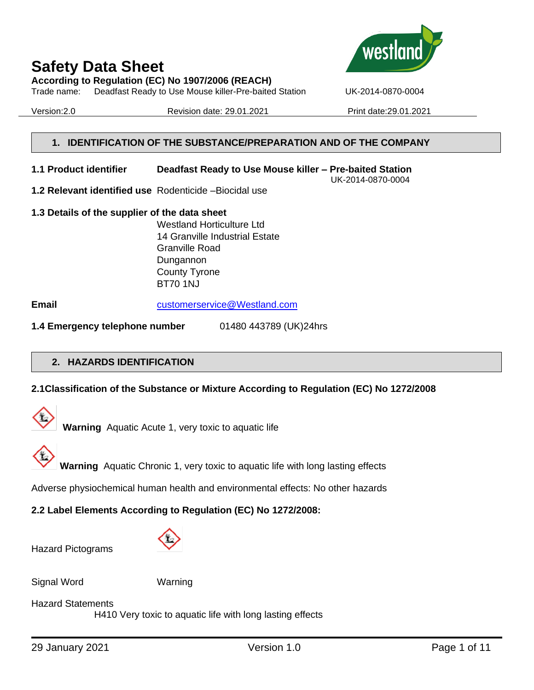**According to Regulation (EC) No 1907/2006 (REACH)**

Trade name: Deadfast Ready to Use Mouse killer-Pre-baited Station UK-2014-0870-0004

Version:2.0 Revision date: 29.01.2021 Print date:29.01.2021



**Wes** 

UK-2014-0870-0004

#### **1. IDENTIFICATION OF THE SUBSTANCE/PREPARATION AND OF THE COMPANY**

- **1.1 Product identifier Deadfast Ready to Use Mouse killer – Pre-baited Station**
- **1.2 Relevant identified use** Rodenticide –Biocidal use
- **1.3 Details of the supplier of the data sheet** Westland Horticulture Ltd 14 Granville Industrial Estate Granville Road Dungannon County Tyrone BT70 1NJ

**Email** [customerservice@Westland.com](mailto:customerservice@Westland.com)

**1.4 Emergency telephone number** 01480 443789 (UK)24hrs

#### **2. HAZARDS IDENTIFICATION**

## **2.1Classification of the Substance or Mixture According to Regulation (EC) No 1272/2008**



**Warning** Aquatic Acute 1, very toxic to aquatic life



**Warning** Aquatic Chronic 1, very toxic to aquatic life with long lasting effects

Adverse physiochemical human health and environmental effects: No other hazards

## **2.2 Label Elements According to Regulation (EC) No 1272/2008:**

Hazard Pictograms



| Signal Word |  |
|-------------|--|
|-------------|--|

Warning

#### Hazard Statements

H410 Very toxic to aquatic life with long lasting effects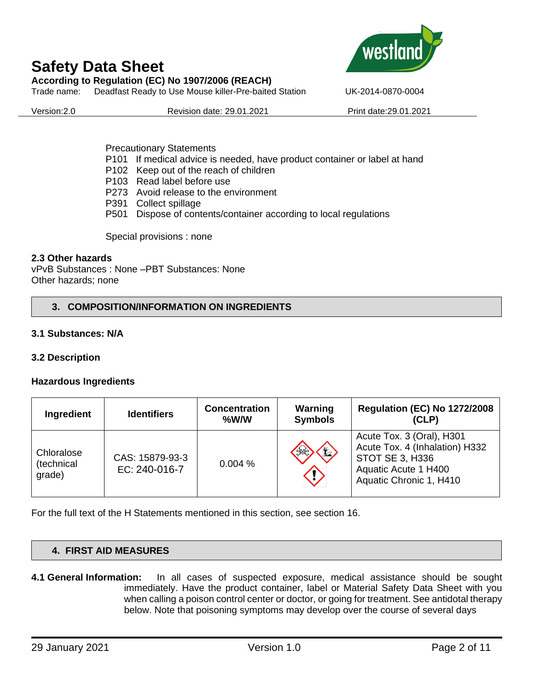**According to Regulation (EC) No 1907/2006 (REACH)**

Trade name: Deadfast Ready to Use Mouse killer-Pre-baited Station UK-2014-0870-0004

Version:2.0 Revision date: 29.01.2021 Print date:29.01.2021

Precautionary Statements

- P101 If medical advice is needed, have product container or label at hand
- P102 Keep out of the reach of children
- P103 Read label before use
- P273 Avoid release to the environment
- P391 Collect spillage
- P501 Dispose of contents/container according to local regulations

Special provisions : none

### **2.3 Other hazards**

vPvB Substances : None –PBT Substances: None Other hazards; none

## **3. COMPOSITION/INFORMATION ON INGREDIENTS**

### **3.1 Substances: N/A**

## **3.2 Description**

### **Hazardous Ingredients**

| Ingredient                         | <b>Identifiers</b>               | <b>Concentration</b><br>$%$ W/W | Warning<br><b>Symbols</b> | <b>Regulation (EC) No 1272/2008</b><br>(CLP)                                                                                      |
|------------------------------------|----------------------------------|---------------------------------|---------------------------|-----------------------------------------------------------------------------------------------------------------------------------|
| Chloralose<br>(technical<br>grade) | CAS: 15879-93-3<br>EC: 240-016-7 | 0.004%                          | $\mathbf{H}$              | Acute Tox. 3 (Oral), H301<br>Acute Tox. 4 (Inhalation) H332<br>STOT SE 3, H336<br>Aquatic Acute 1 H400<br>Aquatic Chronic 1, H410 |

For the full text of the H Statements mentioned in this section, see section 16.

## **4. FIRST AID MEASURES**

**4.1 General Information:** In all cases of suspected exposure, medical assistance should be sought immediately. Have the product container, label or Material Safety Data Sheet with you when calling a poison control center or doctor, or going for treatment. See antidotal therapy below. Note that poisoning symptoms may develop over the course of several days

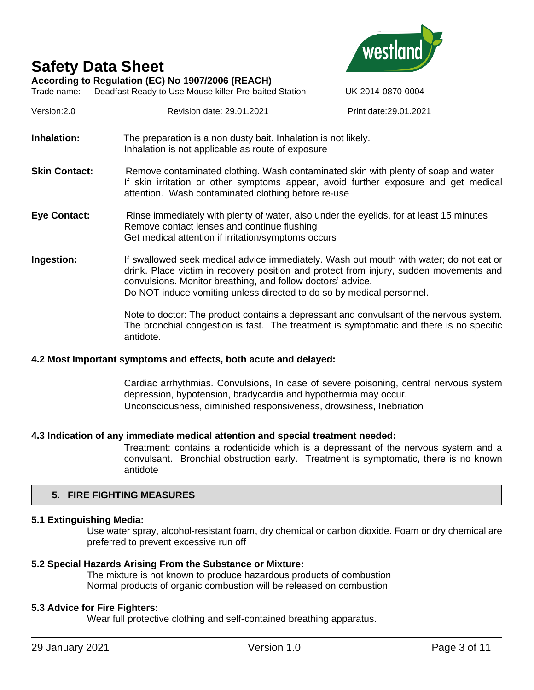

Trade name: Deadfast Ready to Use Mouse killer-Pre-baited Station UK-2014-0870-0004



| Version: 2.0         | Revision date: 29.01.2021                                                                                                                                                                                                                                                                                                | Print date: 29.01.2021 |
|----------------------|--------------------------------------------------------------------------------------------------------------------------------------------------------------------------------------------------------------------------------------------------------------------------------------------------------------------------|------------------------|
| Inhalation:          | The preparation is a non dusty bait. Inhalation is not likely.<br>Inhalation is not applicable as route of exposure                                                                                                                                                                                                      |                        |
| <b>Skin Contact:</b> | Remove contaminated clothing. Wash contaminated skin with plenty of soap and water<br>If skin irritation or other symptoms appear, avoid further exposure and get medical<br>attention. Wash contaminated clothing before re-use                                                                                         |                        |
| <b>Eye Contact:</b>  | Rinse immediately with plenty of water, also under the eyelids, for at least 15 minutes<br>Remove contact lenses and continue flushing<br>Get medical attention if irritation/symptoms occurs                                                                                                                            |                        |
| Ingestion:           | If swallowed seek medical advice immediately. Wash out mouth with water; do not eat or<br>drink. Place victim in recovery position and protect from injury, sudden movements and<br>convulsions. Monitor breathing, and follow doctors' advice.<br>Do NOT induce vomiting unless directed to do so by medical personnel. |                        |
|                      | Note to doctor: The product contains a depressant and convulsant of the nervous system.<br>The bronchial congestion is fast. The treatment is symptomatic and there is no specific<br>antidote.                                                                                                                          |                        |

#### **4.2 Most Important symptoms and effects, both acute and delayed:**

Cardiac arrhythmias. Convulsions, In case of severe poisoning, central nervous system depression, hypotension, bradycardia and hypothermia may occur. Unconsciousness, diminished responsiveness, drowsiness, Inebriation

#### **4.3 Indication of any immediate medical attention and special treatment needed:**

Treatment: contains a rodenticide which is a depressant of the nervous system and a convulsant. Bronchial obstruction early. Treatment is symptomatic, there is no known antidote

#### **5. FIRE FIGHTING MEASURES**

#### **5.1 Extinguishing Media:**

Use water spray, alcohol-resistant foam, dry chemical or carbon dioxide. Foam or dry chemical are preferred to prevent excessive run off

#### **5.2 Special Hazards Arising From the Substance or Mixture:**

The mixture is not known to produce hazardous products of combustion Normal products of organic combustion will be released on combustion

#### **5.3 Advice for Fire Fighters:**

Wear full protective clothing and self-contained breathing apparatus.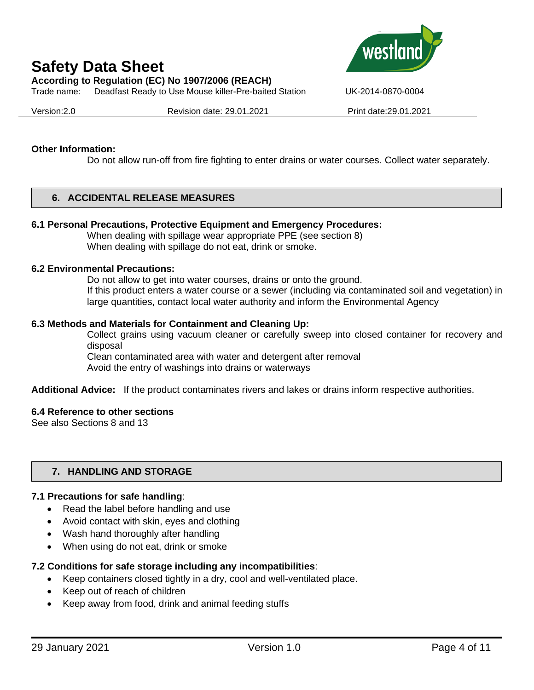**According to Regulation (EC) No 1907/2006 (REACH)**

Trade name: Deadfast Ready to Use Mouse killer-Pre-baited Station UK-2014-0870-0004



Version:2.0 Revision date: 29.01.2021 Print date:29.01.2021

#### **Other Information:**

Do not allow run-off from fire fighting to enter drains or water courses. Collect water separately.

### **6. ACCIDENTAL RELEASE MEASURES**

#### **6.1 Personal Precautions, Protective Equipment and Emergency Procedures:**

When dealing with spillage wear appropriate PPE (see section 8) When dealing with spillage do not eat, drink or smoke.

#### **6.2 Environmental Precautions:**

Do not allow to get into water courses, drains or onto the ground. If this product enters a water course or a sewer (including via contaminated soil and vegetation) in large quantities, contact local water authority and inform the Environmental Agency

#### **6.3 Methods and Materials for Containment and Cleaning Up:**

Collect grains using vacuum cleaner or carefully sweep into closed container for recovery and disposal

Clean contaminated area with water and detergent after removal

Avoid the entry of washings into drains or waterways

**Additional Advice:** If the product contaminates rivers and lakes or drains inform respective authorities.

#### **6.4 Reference to other sections**

See also Sections 8 and 13

### **7. HANDLING AND STORAGE**

#### **7.1 Precautions for safe handling**:

- Read the label before handling and use
- Avoid contact with skin, eyes and clothing
- Wash hand thoroughly after handling
- When using do not eat, drink or smoke

## **7.2 Conditions for safe storage including any incompatibilities**:

- Keep containers closed tightly in a dry, cool and well-ventilated place.
- Keep out of reach of children
- Keep away from food, drink and animal feeding stuffs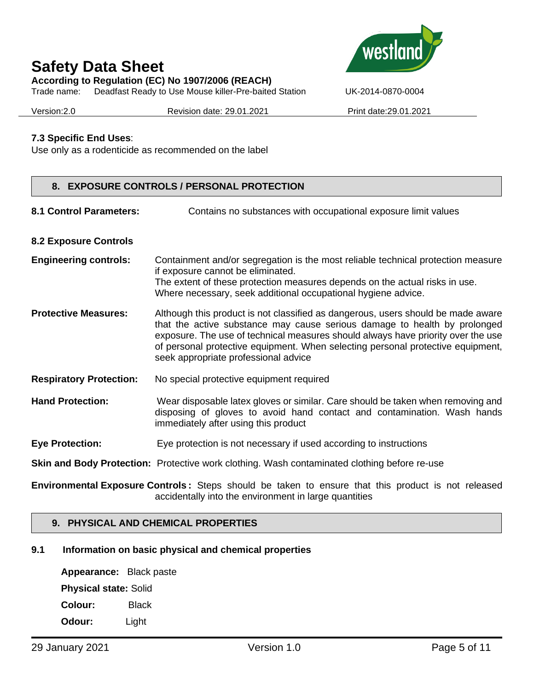**According to Regulation (EC) No 1907/2006 (REACH)**



Trade name: Deadfast Ready to Use Mouse killer-Pre-baited Station UK-2014-0870-0004

Version:2.0 Revision date: 29.01.2021 Print date:29.01.2021

### **7.3 Specific End Uses**:

Use only as a rodenticide as recommended on the label

### **8. EXPOSURE CONTROLS / PERSONAL PROTECTION**

8.1 Control Parameters: Contains no substances with occupational exposure limit values

#### **8.2 Exposure Controls**

- **Engineering controls:** Containment and/or segregation is the most reliable technical protection measure if exposure cannot be eliminated. The extent of these protection measures depends on the actual risks in use. Where necessary, seek additional occupational hygiene advice.
- **Protective Measures:** Although this product is not classified as dangerous, users should be made aware that the active substance may cause serious damage to health by prolonged exposure. The use of technical measures should always have priority over the use of personal protective equipment. When selecting personal protective equipment, seek appropriate professional advice
- **Respiratory Protection:** No special protective equipment required
- **Hand Protection:** Wear disposable latex gloves or similar. Care should be taken when removing and disposing of gloves to avoid hand contact and contamination. Wash hands immediately after using this product
- **Eye Protection:** Eye protection is not necessary if used according to instructions

**Skin and Body Protection:** Protective work clothing. Wash contaminated clothing before re-use

**Environmental Exposure Controls :** Steps should be taken to ensure that this product is not released accidentally into the environment in large quantities

#### **9. PHYSICAL AND CHEMICAL PROPERTIES**

#### **9.1 Information on basic physical and chemical properties**

**Appearance:** Black paste **Physical state:** Solid **Colour:** Black **Odour:** Light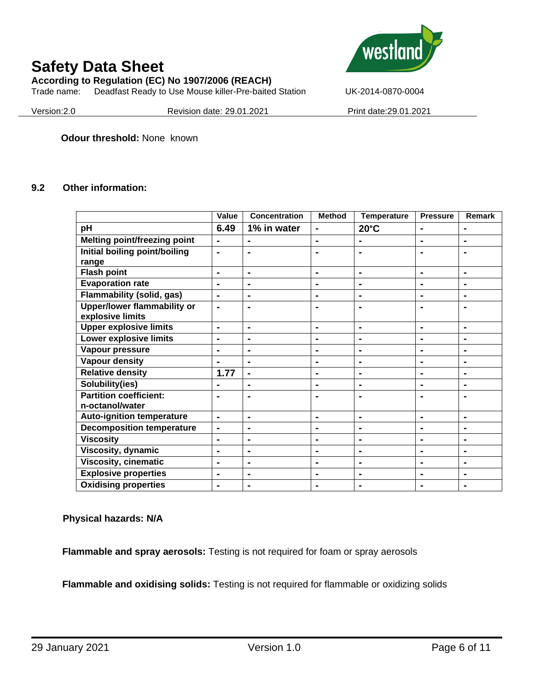**According to Regulation (EC) No 1907/2006 (REACH)**

Trade name: Deadfast Ready to Use Mouse killer-Pre-baited Station UK-2014-0870-0004



Version:2.0 Revision date: 29.01.2021 Print date:29.01.2021

**Odour threshold:** None known

#### **9.2 Other information:**

|                                     | <b>Value</b>   | Concentration  | <b>Method</b>  | <b>Temperature</b> | <b>Pressure</b> | <b>Remark</b>  |
|-------------------------------------|----------------|----------------|----------------|--------------------|-----------------|----------------|
| pH                                  | 6.49           | 1% in water    | $\blacksquare$ | $20^{\circ}$ C     | $\blacksquare$  | $\blacksquare$ |
| <b>Melting point/freezing point</b> |                |                | $\blacksquare$ |                    | $\blacksquare$  |                |
| Initial boiling point/boiling       | $\blacksquare$ | $\blacksquare$ |                |                    | $\blacksquare$  |                |
| range                               |                |                |                |                    |                 |                |
| <b>Flash point</b>                  | $\blacksquare$ | $\blacksquare$ | ۰              | $\blacksquare$     | $\blacksquare$  | $\blacksquare$ |
| <b>Evaporation rate</b>             | $\blacksquare$ | $\blacksquare$ | $\blacksquare$ | $\blacksquare$     | $\blacksquare$  | $\blacksquare$ |
| <b>Flammability (solid, gas)</b>    | $\blacksquare$ | $\blacksquare$ | $\blacksquare$ | $\blacksquare$     | $\blacksquare$  | $\blacksquare$ |
| <b>Upper/lower flammability or</b>  | $\blacksquare$ | $\blacksquare$ | $\blacksquare$ |                    | $\blacksquare$  | $\blacksquare$ |
| explosive limits                    |                |                |                |                    |                 |                |
| <b>Upper explosive limits</b>       | $\blacksquare$ | $\blacksquare$ | $\blacksquare$ | $\blacksquare$     | $\blacksquare$  | $\blacksquare$ |
| <b>Lower explosive limits</b>       | $\blacksquare$ | $\blacksquare$ | $\blacksquare$ |                    | $\blacksquare$  |                |
| Vapour pressure                     | $\blacksquare$ | ۰              | $\blacksquare$ | $\blacksquare$     | $\blacksquare$  | $\blacksquare$ |
| <b>Vapour density</b>               |                | $\blacksquare$ | Ξ.             | $\blacksquare$     | $\blacksquare$  | $\blacksquare$ |
| <b>Relative density</b>             | 1.77           | ۰              | ۰              |                    | $\blacksquare$  | $\blacksquare$ |
| Solubility(ies)                     |                | Ξ.             | Ξ.             | $\blacksquare$     | $\blacksquare$  |                |
| <b>Partition coefficient:</b>       |                |                |                |                    |                 |                |
| n-octanol/water                     |                |                |                |                    |                 |                |
| <b>Auto-ignition temperature</b>    | $\blacksquare$ | $\blacksquare$ | $\blacksquare$ | $\blacksquare$     | $\blacksquare$  | $\blacksquare$ |
| <b>Decomposition temperature</b>    | $\blacksquare$ | $\blacksquare$ | $\blacksquare$ | $\blacksquare$     | $\blacksquare$  | $\blacksquare$ |
| <b>Viscosity</b>                    | $\blacksquare$ | $\blacksquare$ | Ξ.             | $\blacksquare$     | $\blacksquare$  | $\blacksquare$ |
| Viscosity, dynamic                  | $\blacksquare$ | $\blacksquare$ | $\blacksquare$ | $\blacksquare$     | $\blacksquare$  | $\blacksquare$ |
| <b>Viscosity, cinematic</b>         | $\blacksquare$ | $\blacksquare$ | $\blacksquare$ | $\blacksquare$     | $\blacksquare$  | $\blacksquare$ |
| <b>Explosive properties</b>         | $\blacksquare$ | $\blacksquare$ | $\blacksquare$ | $\blacksquare$     | $\blacksquare$  | $\blacksquare$ |
| <b>Oxidising properties</b>         | $\blacksquare$ | $\blacksquare$ |                | $\blacksquare$     | $\blacksquare$  | $\blacksquare$ |

**Physical hazards: N/A**

**Flammable and spray aerosols:** Testing is not required for foam or spray aerosols

**Flammable and oxidising solids:** Testing is not required for flammable or oxidizing solids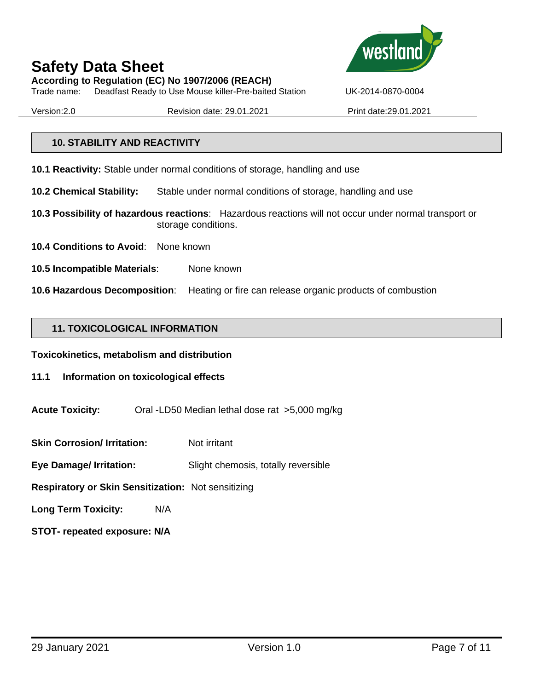**According to Regulation (EC) No 1907/2006 (REACH)** Trade name: Deadfast Ready to Use Mouse killer-Pre-baited Station UK-2014-0870-0004

Version:2.0 Revision date: 29.01.2021 Print date:29.01.2021

#### **10. STABILITY AND REACTIVITY**

**10.1 Reactivity:** Stable under normal conditions of storage, handling and use

- **10.2 Chemical Stability:** Stable under normal conditions of storage, handling and use
- **10.3 Possibility of hazardous reactions**: Hazardous reactions will not occur under normal transport or storage conditions.
- **10.4 Conditions to Avoid**: None known
- **10.5 Incompatible Materials**: None known
- **10.6 Hazardous Decomposition**: Heating or fire can release organic products of combustion

#### **11. TOXICOLOGICAL INFORMATION**

**Toxicokinetics, metabolism and distribution**

- **11.1 Information on toxicological effects**
- **Acute Toxicity:** Oral -LD50 Median lethal dose rat >5,000 mg/kg
- **Skin Corrosion/ Irritation:** Not irritant
- **Eye Damage/ Irritation:** Slight chemosis, totally reversible
- **Respiratory or Skin Sensitization:** Not sensitizing
- **Long Term Toxicity:** N/A
- **STOT- repeated exposure: N/A**

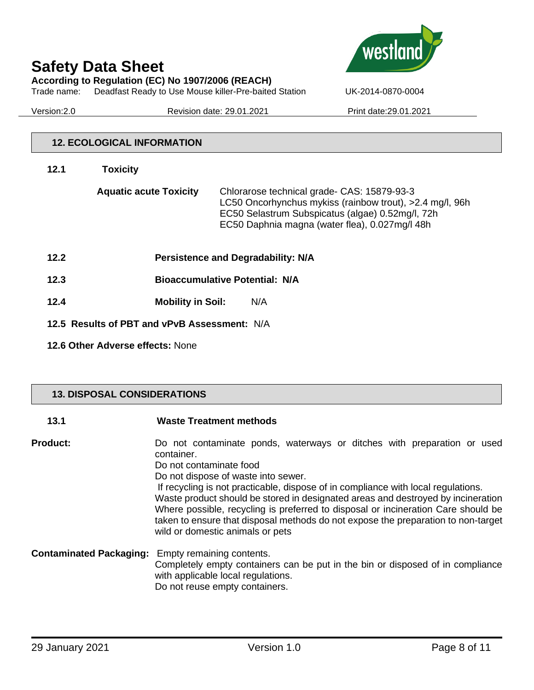**According to Regulation (EC) No 1907/2006 (REACH)**





Version:2.0 Revision date: 29.01.2021 Print date:29.01.2021

#### **12. ECOLOGICAL INFORMATION**

| 12.1 | <b>Toxicity</b>                              |                                                                                                                                                                                                               |
|------|----------------------------------------------|---------------------------------------------------------------------------------------------------------------------------------------------------------------------------------------------------------------|
|      | <b>Aquatic acute Toxicity</b>                | Chlorarose technical grade- CAS: 15879-93-3<br>LC50 Oncorhynchus mykiss (rainbow trout), >2.4 mg/l, 96h<br>EC50 Selastrum Subspicatus (algae) 0.52mg/l, 72h<br>EC50 Daphnia magna (water flea), 0.027mg/l 48h |
| 12.2 |                                              | Persistence and Degradability: N/A                                                                                                                                                                            |
| 12.3 |                                              | <b>Bioaccumulative Potential: N/A</b>                                                                                                                                                                         |
| 12.4 | <b>Mobility in Soil:</b>                     | N/A                                                                                                                                                                                                           |
|      | 12.5 Results of PBT and vPvB Assessment: N/A |                                                                                                                                                                                                               |

**12.6 Other Adverse effects:** None

### **13. DISPOSAL CONSIDERATIONS**

| 13.1                           | <b>Waste Treatment methods</b>                                                                                                                                                                                                                                                                                                                                                                                                                                                                                                                 |
|--------------------------------|------------------------------------------------------------------------------------------------------------------------------------------------------------------------------------------------------------------------------------------------------------------------------------------------------------------------------------------------------------------------------------------------------------------------------------------------------------------------------------------------------------------------------------------------|
| <b>Product:</b>                | Do not contaminate ponds, waterways or ditches with preparation or used<br>container.<br>Do not contaminate food<br>Do not dispose of waste into sewer.<br>If recycling is not practicable, dispose of in compliance with local regulations.<br>Waste product should be stored in designated areas and destroyed by incineration<br>Where possible, recycling is preferred to disposal or incineration Care should be<br>taken to ensure that disposal methods do not expose the preparation to non-target<br>wild or domestic animals or pets |
| <b>Contaminated Packaging:</b> | Empty remaining contents.<br>Completely empty containers can be put in the bin or disposed of in compliance<br>with applicable local regulations.<br>Do not reuse empty containers.                                                                                                                                                                                                                                                                                                                                                            |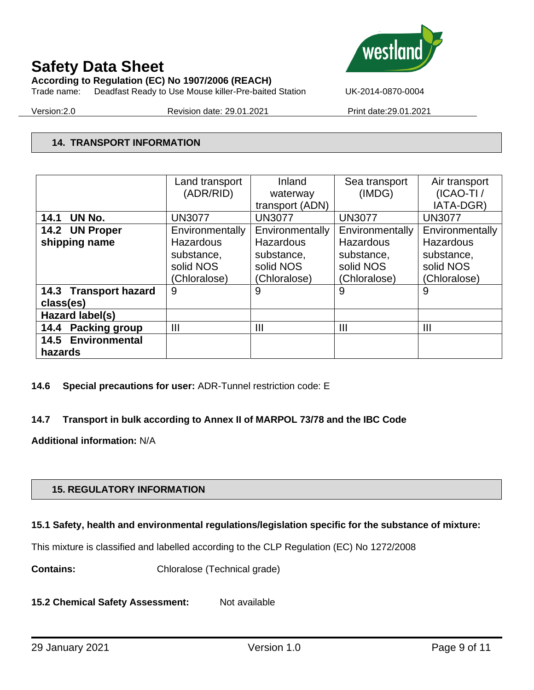**According to Regulation (EC) No 1907/2006 (REACH)**





Version:2.0 Revision date: 29.01.2021 Print date:29.01.2021

### **14. TRANSPORT INFORMATION**

|                           | Land transport  | Inland           | Sea transport   | Air transport    |
|---------------------------|-----------------|------------------|-----------------|------------------|
|                           | (ADR/RID)       | waterway         | (IMDG)          | $(ICAO-TI)$      |
|                           |                 | transport (ADN)  |                 | IATA-DGR)        |
| UN No.<br>14.1            | <b>UN3077</b>   | <b>UN3077</b>    | <b>UN3077</b>   | <b>UN3077</b>    |
| 14.2 UN Proper            | Environmentally | Environmentally  | Environmentally | Environmentally  |
| shipping name             | Hazardous       | <b>Hazardous</b> | Hazardous       | <b>Hazardous</b> |
|                           | substance,      | substance,       | substance,      | substance,       |
|                           | solid NOS       | solid NOS        | solid NOS       | solid NOS        |
|                           | (Chloralose)    | (Chloralose)     | (Chloralose)    | (Chloralose)     |
| 14.3 Transport hazard     | 9               | 9                | 9               | 9                |
| class(es)                 |                 |                  |                 |                  |
| Hazard label(s)           |                 |                  |                 |                  |
| 14.4 Packing group        | $\mathbf{III}$  | $\mathbf{III}$   | Ш               | $\mathbf{III}$   |
| <b>14.5 Environmental</b> |                 |                  |                 |                  |
| hazards                   |                 |                  |                 |                  |

#### **14.6 Special precautions for user:** ADR-Tunnel restriction code: E

### **14.7 Transport in bulk according to Annex II of MARPOL 73/78 and the IBC Code**

**Additional information:** N/A

### **15. REGULATORY INFORMATION**

#### **15.1 Safety, health and environmental regulations/legislation specific for the substance of mixture:**

This mixture is classified and labelled according to the CLP Regulation (EC) No 1272/2008

**Contains:** Chloralose (Technical grade)

15.2 Chemical Safety Assessment: Not available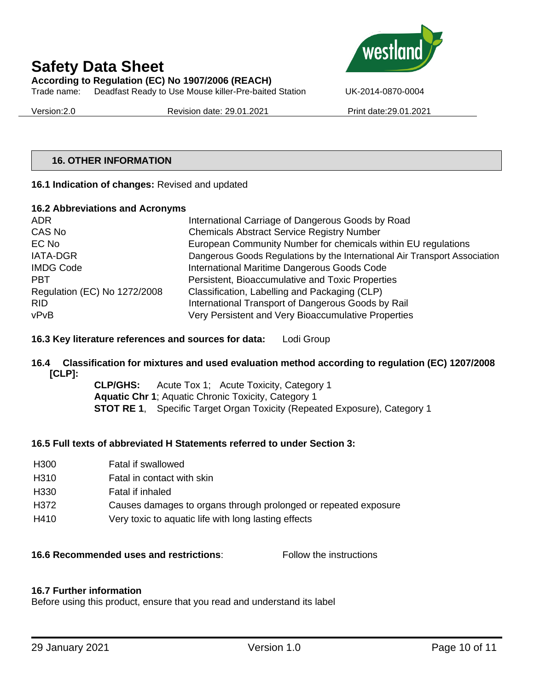# **Safety Data Sheet According to Regulation (EC) No 1907/2006 (REACH)**

Trade name: Deadfast Ready to Use Mouse killer-Pre-baited Station UK-2014-0870-0004

Version:2.0 Revision date: 29.01.2021 Print date:29.01.2021



#### **16. OTHER INFORMATION**

#### **16.1 Indication of changes:** Revised and updated

#### **16.2 Abbreviations and Acronyms**

| ADR.                         | International Carriage of Dangerous Goods by Road                          |
|------------------------------|----------------------------------------------------------------------------|
| CAS No                       | <b>Chemicals Abstract Service Registry Number</b>                          |
| EC No                        | European Community Number for chemicals within EU regulations              |
| <b>IATA-DGR</b>              | Dangerous Goods Regulations by the International Air Transport Association |
| <b>IMDG Code</b>             | International Maritime Dangerous Goods Code                                |
| <b>PBT</b>                   | Persistent, Bioaccumulative and Toxic Properties                           |
| Regulation (EC) No 1272/2008 | Classification, Labelling and Packaging (CLP)                              |
| <b>RID</b>                   | International Transport of Dangerous Goods by Rail                         |
| vPvB                         | Very Persistent and Very Bioaccumulative Properties                        |

#### **16.3 Key literature references and sources for data:** Lodi Group

#### **16.4 Classification for mixtures and used evaluation method according to regulation (EC) 1207/2008 [CLP]:**

**CLP/GHS:** Acute Tox 1; Acute Toxicity, Category 1 **Aquatic Chr 1**; Aquatic Chronic Toxicity, Category 1 **STOT RE 1**, Specific Target Organ Toxicity (Repeated Exposure), Category 1

#### **16.5 Full texts of abbreviated H Statements referred to under Section 3:**

| H <sub>300</sub> | Fatal if swallowed                                              |
|------------------|-----------------------------------------------------------------|
| H <sub>310</sub> | Fatal in contact with skin                                      |
| H <sub>330</sub> | Fatal if inhaled                                                |
| H372             | Causes damages to organs through prolonged or repeated exposure |
| H410             | Very toxic to aquatic life with long lasting effects            |

#### **16.6 Recommended uses and restrictions**: Follow the instructions

#### **16.7 Further information**

Before using this product, ensure that you read and understand its label